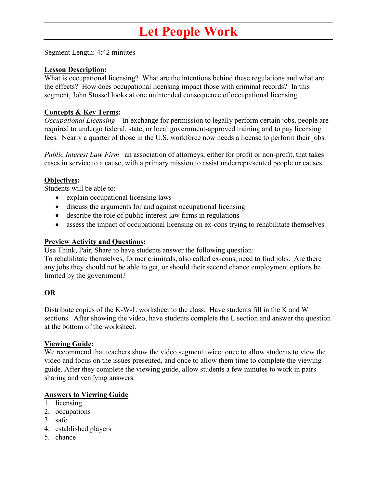### **Let People Work**

Segment Length: 4:42 minutes

### **Lesson Description:**

What is occupational licensing? What are the intentions behind these regulations and what are the effects? How does occupational licensing impact those with criminal records? In this segment, John Stossel looks at one unintended consequence of occupational licensing.

### **Concepts & Key Terms:**

*Occupational Licensing* – In exchange for permission to legally perform certain jobs, people are required to undergo federal, state, or local government-approved training and to pay licensing fees. Nearly a quarter of those in the U.S. workforce now needs a license to perform their jobs.

*Public Interest Law Firm–* an association of attorneys, either for profit or non-profit, that takes cases in service to a cause, with a primary mission to assist underrepresented people or causes.

### **Objectives:**

Students will be able to:

- explain occupational licensing laws
- discuss the arguments for and against occupational licensing
- describe the role of public interest law firms in regulations
- assess the impact of occupational licensing on ex-cons trying to rehabilitate themselves

### **Preview Activity and Questions:**

Use Think, Pair, Share to have students answer the following question:

To rehabilitate themselves, former criminals, also called ex-cons, need to find jobs. Are there any jobs they should not be able to get, or should their second chance employment options be limited by the government?

### **OR**

Distribute copies of the K-W-L worksheet to the class. Have students fill in the K and W sections. After showing the video, have students complete the L section and answer the question at the bottom of the worksheet.

### **Viewing Guide:**

We recommend that teachers show the video segment twice: once to allow students to view the video and focus on the issues presented, and once to allow them time to complete the viewing guide. After they complete the viewing guide, allow students a few minutes to work in pairs sharing and verifying answers.

### **Answers to Viewing Guide**

- 1. licensing
- 2. occupations
- 3. safe
- 4. established players
- 5. chance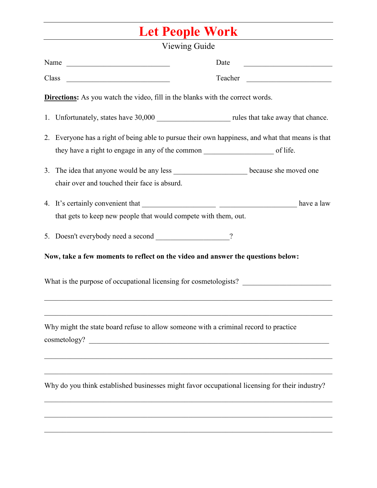## **Let People Work**

| Viewing Guide |                                                                                                                                                                                           |  |
|---------------|-------------------------------------------------------------------------------------------------------------------------------------------------------------------------------------------|--|
|               | Name<br>Date                                                                                                                                                                              |  |
|               | Class<br>Teacher<br><u> 1989 - Johann Stein, mars andreis andreis andreis andreis andreis andreis andreis andreis andreis andreis an</u><br><u> 1980 - Andrea Andrew Maria (h. 1980).</u> |  |
|               | <b>Directions:</b> As you watch the video, fill in the blanks with the correct words.                                                                                                     |  |
|               |                                                                                                                                                                                           |  |
|               | 2. Everyone has a right of being able to pursue their own happiness, and what that means is that                                                                                          |  |
|               |                                                                                                                                                                                           |  |
|               | 3. The idea that anyone would be any less ________________________ because she moved one                                                                                                  |  |
|               | chair over and touched their face is absurd.                                                                                                                                              |  |
|               |                                                                                                                                                                                           |  |
|               | that gets to keep new people that would compete with them, out.                                                                                                                           |  |
|               | 5. Doesn't everybody need a second ___________________?                                                                                                                                   |  |
|               | Now, take a few moments to reflect on the video and answer the questions below:                                                                                                           |  |
|               | What is the purpose of occupational licensing for cosmetologists?                                                                                                                         |  |
|               | <u> 1989 - Johann Stoff, amerikansk politiker (d. 1989)</u><br>Why might the state board refuse to allow someone with a criminal record to practice                                       |  |
|               |                                                                                                                                                                                           |  |
|               |                                                                                                                                                                                           |  |
|               | Why do you think established businesses might favor occupational licensing for their industry?                                                                                            |  |
|               |                                                                                                                                                                                           |  |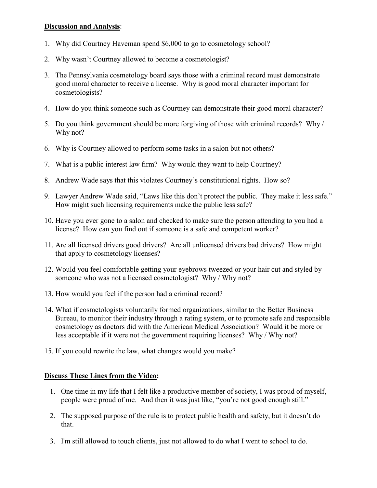### **Discussion and Analysis**:

- 1. Why did Courtney Haveman spend \$6,000 to go to cosmetology school?
- 2. Why wasn't Courtney allowed to become a cosmetologist?
- 3. The Pennsylvania cosmetology board says those with a criminal record must demonstrate good moral character to receive a license. Why is good moral character important for cosmetologists?
- 4. How do you think someone such as Courtney can demonstrate their good moral character?
- 5. Do you think government should be more forgiving of those with criminal records? Why / Why not?
- 6. Why is Courtney allowed to perform some tasks in a salon but not others?
- 7. What is a public interest law firm? Why would they want to help Courtney?
- 8. Andrew Wade says that this violates Courtney's constitutional rights. How so?
- 9. Lawyer Andrew Wade said, "Laws like this don't protect the public. They make it less safe." How might such licensing requirements make the public less safe?
- 10. Have you ever gone to a salon and checked to make sure the person attending to you had a license? How can you find out if someone is a safe and competent worker?
- 11. Are all licensed drivers good drivers? Are all unlicensed drivers bad drivers? How might that apply to cosmetology licenses?
- 12. Would you feel comfortable getting your eyebrows tweezed or your hair cut and styled by someone who was not a licensed cosmetologist? Why / Why not?
- 13. How would you feel if the person had a criminal record?
- 14. What if cosmetologists voluntarily formed organizations, similar to the Better Business Bureau, to monitor their industry through a rating system, or to promote safe and responsible cosmetology as doctors did with the American Medical Association? Would it be more or less acceptable if it were not the government requiring licenses? Why / Why not?
- 15. If you could rewrite the law, what changes would you make?

### **Discuss These Lines from the Video:**

- 1. One time in my life that I felt like a productive member of society, I was proud of myself, people were proud of me. And then it was just like, "you're not good enough still."
- 2. The supposed purpose of the rule is to protect public health and safety, but it doesn't do that.
- 3. I'm still allowed to touch clients, just not allowed to do what I went to school to do.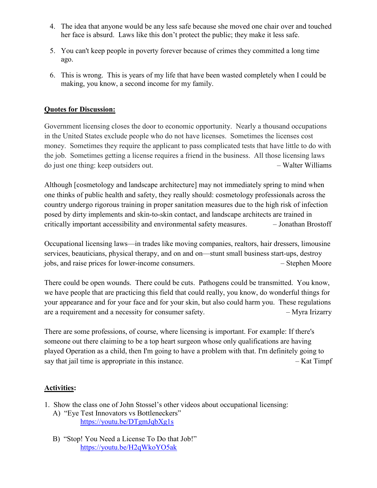- 4. The idea that anyone would be any less safe because she moved one chair over and touched her face is absurd. Laws like this don't protect the public; they make it less safe.
- 5. You can't keep people in poverty forever because of crimes they committed a long time ago.
- 6. This is wrong. This is years of my life that have been wasted completely when I could be making, you know, a second income for my family.

### **Quotes for Discussion:**

Government licensing closes the door to economic opportunity. Nearly a thousand occupations in the United States exclude people who do not have licenses. Sometimes the licenses cost money. Sometimes they require the applicant to pass complicated tests that have little to do with the job. Sometimes getting a license requires a friend in the business. All those licensing laws do just one thing: keep outsiders out. – Walter Williams

Although [cosmetology and landscape architecture] may not immediately spring to mind when one thinks of public health and safety, they really should: cosmetology professionals across the country undergo rigorous training in proper sanitation measures due to the high risk of infection posed by dirty implements and skin-to-skin contact, and landscape architects are trained in critically important accessibility and environmental safety measures. – Jonathan Brostoff

Occupational licensing laws—in trades like moving companies, realtors, hair dressers, limousine services, beauticians, physical therapy, and on and on—stunt small business start-ups, destroy jobs, and raise prices for lower-income consumers. – Stephen Moore

There could be open wounds. There could be cuts. Pathogens could be transmitted. You know, we have people that are practicing this field that could really, you know, do wonderful things for your appearance and for your face and for your skin, but also could harm you. These regulations are a requirement and a necessity for consumer safety.  $-Myra Irizarry$ 

There are some professions, of course, where licensing is important. For example: If there's someone out there claiming to be a top heart surgeon whose only qualifications are having played Operation as a child, then I'm going to have a problem with that. I'm definitely going to say that jail time is appropriate in this instance.  $\overline{\phantom{a}}$  - Kat Timpf

### **Activities:**

- 1. Show the class one of John Stossel's other videos about occupational licensing: A) "Eye Test Innovators vs Bottleneckers"
	- <https://youtu.be/DTgmJqbXg1s>
	- B) "Stop! You Need a License To Do that Job!" <https://youtu.be/H2qWkoYO5ak>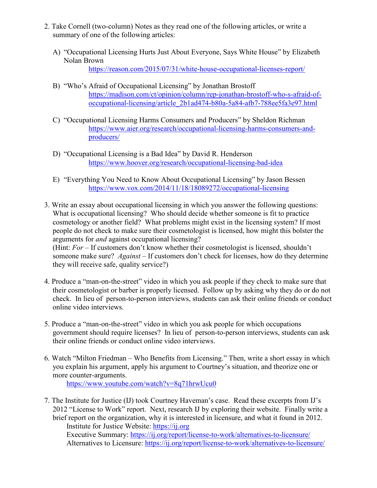- 2. Take Cornell (two-column) Notes as they read one of the following articles, or write a summary of one of the following articles:
	- A) "Occupational Licensing Hurts Just About Everyone, Says White House" by Elizabeth Nolan Brown

<https://reason.com/2015/07/31/white-house-occupational-licenses-report/>

- B) "Who's Afraid of Occupational Licensing" by Jonathan Brostoff [https://madison.com/ct/opinion/column/rep-jonathan-brostoff-who-s-afraid-of](https://madison.com/ct/opinion/column/rep-jonathan-brostoff-who-s-afraid-of-occupational-licensing/article_2b1ad474-b80a-5a84-afb7-788ee5fa3e97.html)[occupational-licensing/article\\_2b1ad474-b80a-5a84-afb7-788ee5fa3e97.html](https://madison.com/ct/opinion/column/rep-jonathan-brostoff-who-s-afraid-of-occupational-licensing/article_2b1ad474-b80a-5a84-afb7-788ee5fa3e97.html)
- C) "Occupational Licensing Harms Consumers and Producers" by Sheldon Richman [https://www.aier.org/research/occupational-licensing-harms-consumers-and](https://www.aier.org/research/occupational-licensing-harms-consumers-and-producers/)[producers/](https://www.aier.org/research/occupational-licensing-harms-consumers-and-producers/)
- D) "Occupational Licensing is a Bad Idea" by David R. Henderson <https://www.hoover.org/research/occupational-licensing-bad-idea>
- E) "Everything You Need to Know About Occupational Licensing" by Jason Bessen <https://www.vox.com/2014/11/18/18089272/occupational-licensing>
- 3. Write an essay about occupational licensing in which you answer the following questions: What is occupational licensing? Who should decide whether someone is fit to practice cosmetology or another field? What problems might exist in the licensing system? If most people do not check to make sure their cosmetologist is licensed, how might this bolster the arguments for *and* against occupational licensing? (Hint: *For* – If customers don't know whether their cosmetologist is licensed, shouldn't someone make sure? *Against* – If customers don't check for licenses, how do they determine they will receive safe, quality service?)
- 4. Produce a "man-on-the-street" video in which you ask people if they check to make sure that their cosmetologist or barber is properly licensed. Follow up by asking why they do or do not check. In lieu of person-to-person interviews, students can ask their online friends or conduct online video interviews.
- 5. Produce a "man-on-the-street" video in which you ask people for which occupations government should require licenses? In lieu of person-to-person interviews, students can ask their online friends or conduct online video interviews.
- 6. Watch "Milton Friedman Who Benefits from Licensing." Then, write a short essay in which you explain his argument, apply his argument to Courtney's situation, and theorize one or more counter-arguments. <https://www.youtube.com/watch?v=8q71hrwUcu0>
- 7. The Institute for Justice (IJ) took Courtney Haveman's case. Read these excerpts from IJ's 2012 "License to Work" report. Next, research IJ by exploring their website. Finally write a brief report on the organization, why it is interested in licensure, and what it found in 2012. Institute for Justice Website: [https://ij.org](https://ij.org/) Executive Summary:<https://ij.org/report/license-to-work/alternatives-to-licensure/> Alternatives to Licensure:<https://ij.org/report/license-to-work/alternatives-to-licensure/>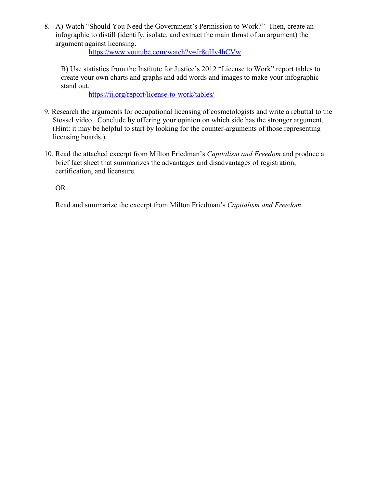8. A) Watch "Should You Need the Government's Permission to Work?" Then, create an infographic to distill (identify, isolate, and extract the main thrust of an argument) the argument against licensing.

<https://www.youtube.com/watch?v=Jr8qHv4hCVw>

B) Use statistics from the Institute for Justice's 2012 "License to Work" report tables to create your own charts and graphs and add words and images to make your infographic stand out.

<https://ij.org/report/license-to-work/tables/>

- 9. Research the arguments for occupational licensing of cosmetologists and write a rebuttal to the Stossel video. Conclude by offering your opinion on which side has the stronger argument. (Hint: it may be helpful to start by looking for the counter-arguments of those representing licensing boards.)
- 10. Read the attached excerpt from Milton Friedman's *Capitalism and Freedom* and produce a brief fact sheet that summarizes the advantages and disadvantages of registration, certification, and licensure.

OR

Read and summarize the excerpt from Milton Friedman's *Capitalism and Freedom.*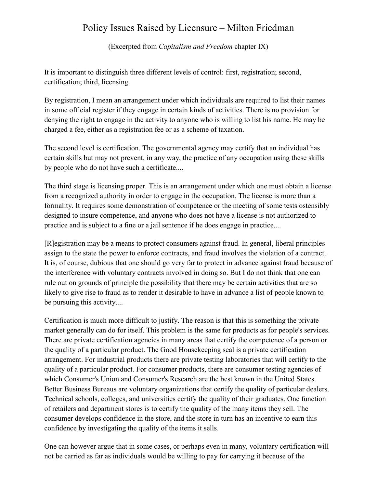### Policy Issues Raised by Licensure – Milton Friedman

(Excerpted from *Capitalism and Freedom* chapter IX)

It is important to distinguish three different levels of control: first, registration; second, certification; third, licensing.

By registration, I mean an arrangement under which individuals are required to list their names in some official register if they engage in certain kinds of activities. There is no provision for denying the right to engage in the activity to anyone who is willing to list his name. He may be charged a fee, either as a registration fee or as a scheme of taxation.

The second level is certification. The governmental agency may certify that an individual has certain skills but may not prevent, in any way, the practice of any occupation using these skills by people who do not have such a certificate....

The third stage is licensing proper. This is an arrangement under which one must obtain a license from a recognized authority in order to engage in the occupation. The license is more than a formality. It requires some demonstration of competence or the meeting of some tests ostensibly designed to insure competence, and anyone who does not have a license is not authorized to practice and is subject to a fine or a jail sentence if he does engage in practice....

[R]egistration may be a means to protect consumers against fraud. In general, liberal principles assign to the state the power to enforce contracts, and fraud involves the violation of a contract. It is, of course, dubious that one should go very far to protect in advance against fraud because of the interference with voluntary contracts involved in doing so. But I do not think that one can rule out on grounds of principle the possibility that there may be certain activities that are so likely to give rise to fraud as to render it desirable to have in advance a list of people known to be pursuing this activity....

Certification is much more difficult to justify. The reason is that this is something the private market generally can do for itself. This problem is the same for products as for people's services. There are private certification agencies in many areas that certify the competence of a person or the quality of a particular product. The Good Housekeeping seal is a private certification arrangement. For industrial products there are private testing laboratories that will certify to the quality of a particular product. For consumer products, there are consumer testing agencies of which Consumer's Union and Consumer's Research are the best known in the United States. Better Business Bureaus are voluntary organizations that certify the quality of particular dealers. Technical schools, colleges, and universities certify the quality of their graduates. One function of retailers and department stores is to certify the quality of the many items they sell. The consumer develops confidence in the store, and the store in turn has an incentive to earn this confidence by investigating the quality of the items it sells.

One can however argue that in some cases, or perhaps even in many, voluntary certification will not be carried as far as individuals would be willing to pay for carrying it because of the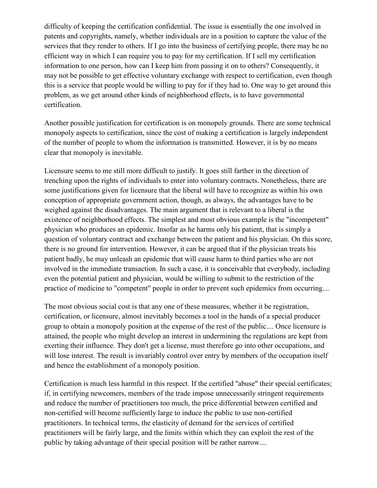difficulty of keeping the certification confidential. The issue is essentially the one involved in patents and copyrights, namely, whether individuals are in a position to capture the value of the services that they render to others. If I go into the business of certifying people, there may be no efficient way in which I can require you to pay for my certification. If I sell my certification information to one person, how can I keep him from passing it on to others? Consequently, it may not be possible to get effective voluntary exchange with respect to certification, even though this is a service that people would be willing to pay for if they had to. One way to get around this problem, as we get around other kinds of neighborhood effects, is to have governmental certification.

Another possible justification for certification is on monopoly grounds. There are some technical monopoly aspects to certification, since the cost of making a certification is largely independent of the number of people to whom the information is transmitted. However, it is by no means clear that monopoly is inevitable.

Licensure seems to me still more difficult to justify. It goes still farther in the direction of trenching upon the rights of individuals to enter into voluntary contracts. Nonetheless, there are some justifications given for licensure that the liberal will have to recognize as within his own conception of appropriate government action, though, as always, the advantages have to be weighed against the disadvantages. The main argument that is relevant to a liberal is the existence of neighborhood effects. The simplest and most obvious example is the "incompetent" physician who produces an epidemic. Insofar as he harms only his patient, that is simply a question of voluntary contract and exchange between the patient and his physician. On this score, there is no ground for intervention. However, it can be argued that if the physician treats his patient badly, he may unleash an epidemic that will cause harm to third parties who are not involved in the immediate transaction. In such a case, it is conceivable that everybody, including even the potential patient and physician, would be willing to submit to the restriction of the practice of medicine to "competent" people in order to prevent such epidemics from occurring....

The most obvious social cost is that any one of these measures, whether it be registration, certification, or licensure, almost inevitably becomes a tool in the hands of a special producer group to obtain a monopoly position at the expense of the rest of the public.... Once licensure is attained, the people who might develop an interest in undermining the regulations are kept from exerting their influence. They don't get a license, must therefore go into other occupations, and will lose interest. The result is invariably control over entry by members of the occupation itself and hence the establishment of a monopoly position.

Certification is much less harmful in this respect. If the certified ''abuse" their special certificates; if, in certifying newcomers, members of the trade impose unnecessarily stringent requirements and reduce the number of practitioners too much, the price differential between certified and non-certified will become sufficiently large to induce the public to use non-certified practitioners. In technical terms, the elasticity of demand for the services of certified practitioners will be fairly large, and the limits within which they can exploit the rest of the public by taking advantage of their special position will be rather narrow....